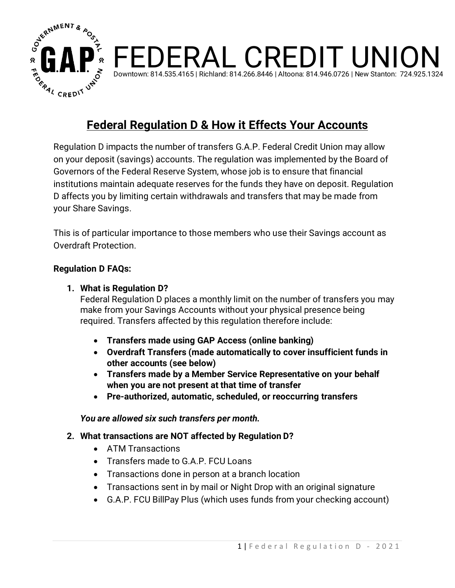

# **Federal Regulation D & How it Effects Your Accounts**

FEDERAL CREDIT UNION

Downtown: 814.535.4165 | Richland: 814.266.8446 | Altoona: 814.946.0726 | New Stanton: 724.925.1324

Regulation D impacts the number of transfers G.A.P. Federal Credit Union may allow on your deposit (savings) accounts. The regulation was implemented by the Board of Governors of the Federal Reserve System, whose job is to ensure that financial institutions maintain adequate reserves for the funds they have on deposit. Regulation D affects you by limiting certain withdrawals and transfers that may be made from your Share Savings.

This is of particular importance to those members who use their Savings account as Overdraft Protection.

#### **Regulation D FAQs:**

#### **1. What is Regulation D?**

Federal Regulation D places a monthly limit on the number of transfers you may make from your Savings Accounts without your physical presence being required. Transfers affected by this regulation therefore include:

- **Transfers made using GAP Access (online banking)**
- **Overdraft Transfers (made automatically to cover insufficient funds in other accounts (see below)**
- **Transfers made by a Member Service Representative on your behalf when you are not present at that time of transfer**
- **Pre-authorized, automatic, scheduled, or reoccurring transfers**

*You are allowed six such transfers per month.*

### **2. What transactions are NOT affected by Regulation D?**

- ATM Transactions
- Transfers made to G.A.P. FCU Loans
- Transactions done in person at a branch location
- Transactions sent in by mail or Night Drop with an original signature
- G.A.P. FCU BillPay Plus (which uses funds from your checking account)